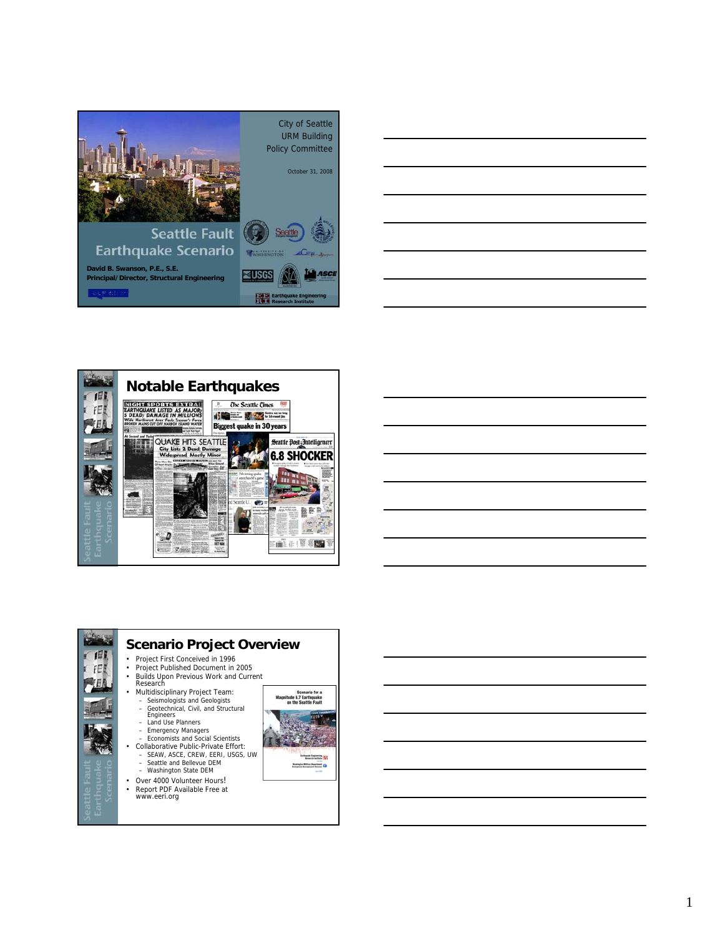





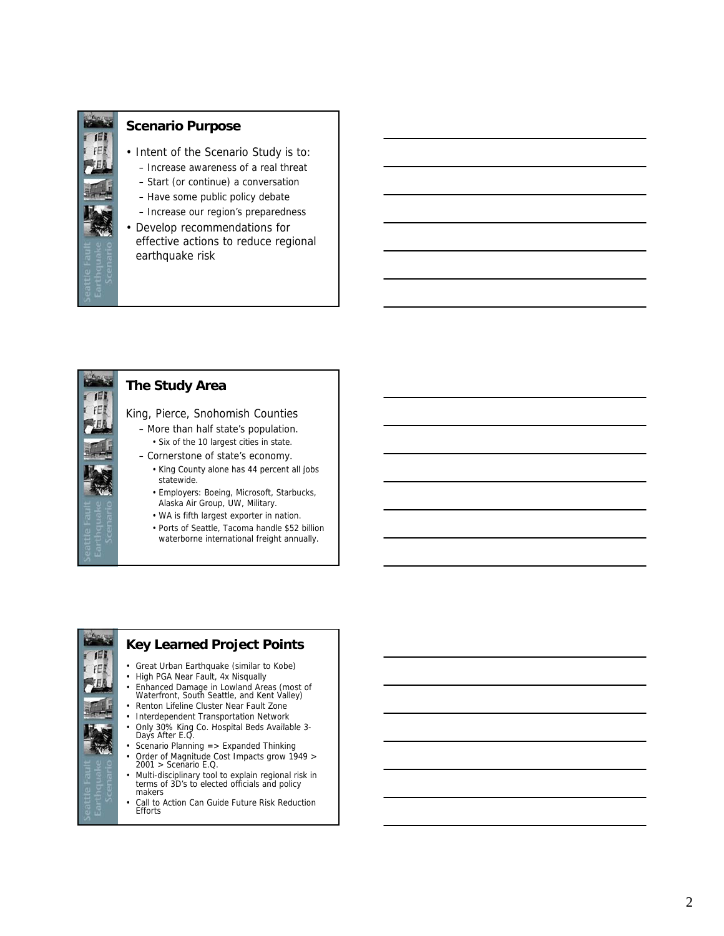

#### **Scenario Purpose**

- Intent of the Scenario Study is to:
	- Increase awareness of a real threat
	- Start (or continue) a conversation
	- Have some public policy debate
	- Increase our region's preparedness
- Develop recommendations for effective actions to reduce regional earthquake risk



# **The Study Area**

King, Pierce, Snohomish Counties

- More than half state's population. • Six of the 10 largest cities in state.
- Cornerstone of state's economy.
	- King County alone has 44 percent all jobs statewide.
	- Employers: Boeing, Microsoft, Starbucks, Alaska Air Group, UW, Military.
	- WA is fifth largest exporter in nation.
	- Ports of Seattle, Tacoma handle \$52 billion waterborne international freight annually.

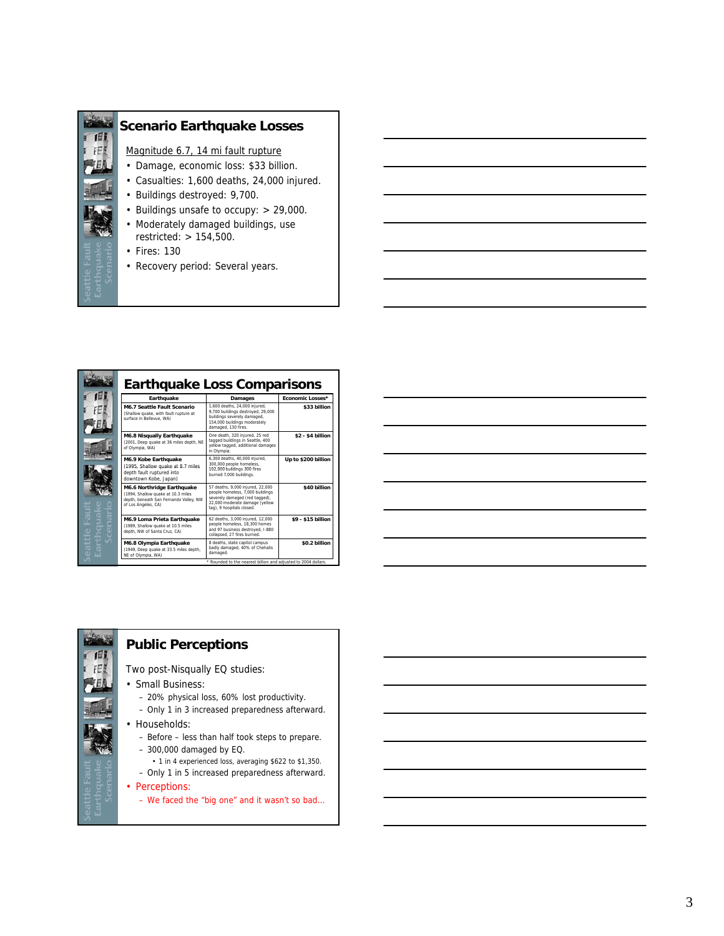







#### **Public Perceptions**

Two post-Nisqually EQ studies:

- Small Business:
	- 20% physical loss, 60% lost productivity.
	- Only 1 in 3 increased preparedness afterward.
- Households:
	- Before less than half took steps to prepare.
	- 300,000 damaged by EQ.
	- 1 in 4 experienced loss, averaging \$622 to \$1,350.
	- Only 1 in 5 increased preparedness afterward.
- Perceptions:
	- We faced the "big one" and it wasn't so bad…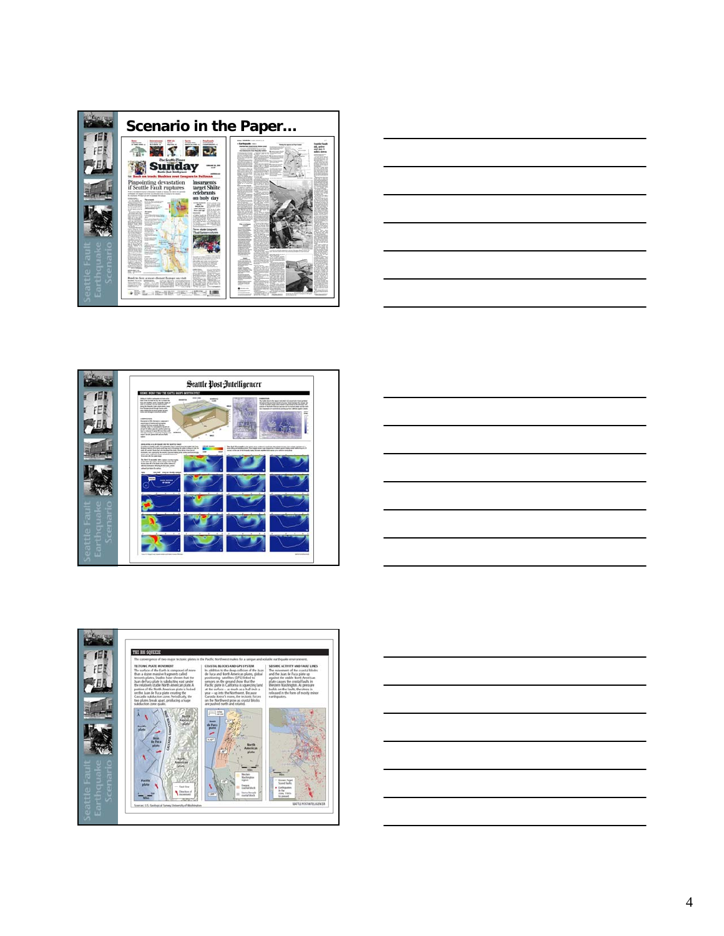









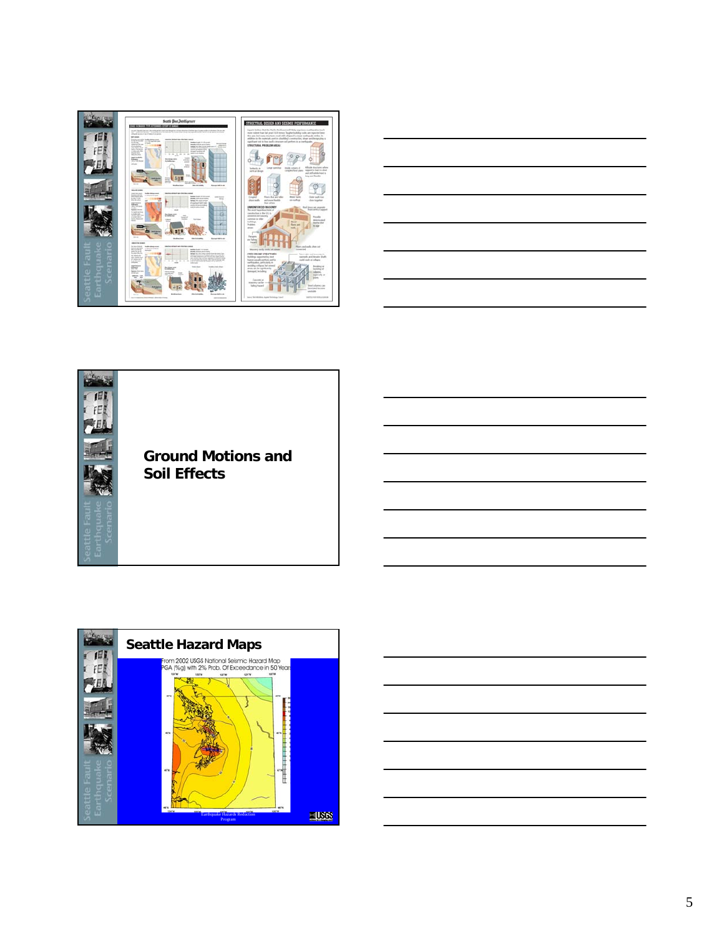







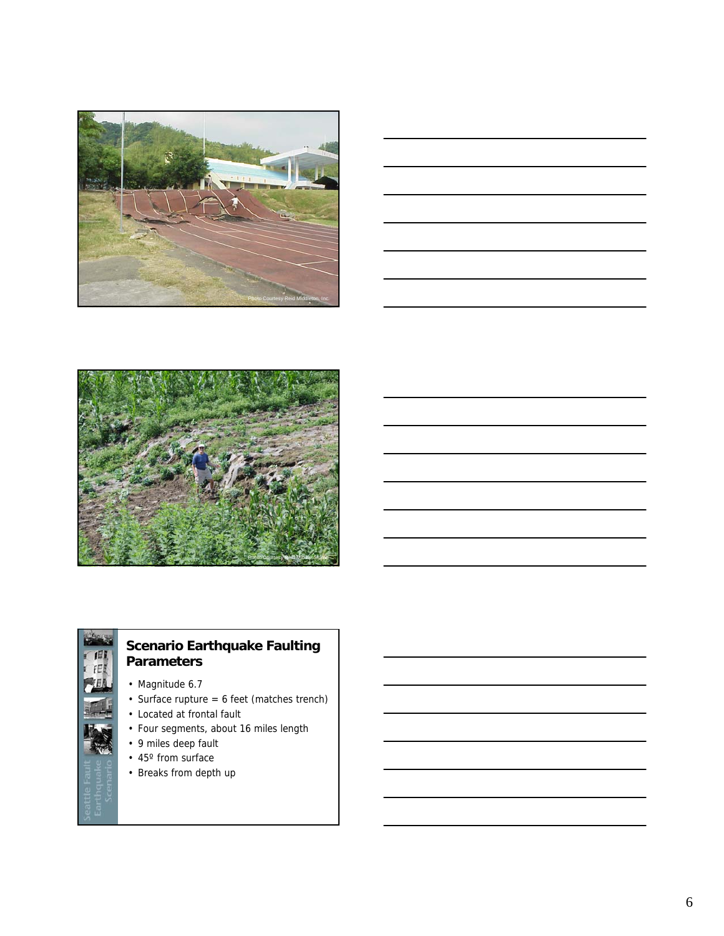







# **Scenario Earthquake Faulting Parameters**

- Magnitude 6.7
- Surface rupture = 6 feet (matches trench)
- Located at frontal fault
- Four segments, about 16 miles length
- 9 miles deep fault
- 45° from surface
- Breaks from depth up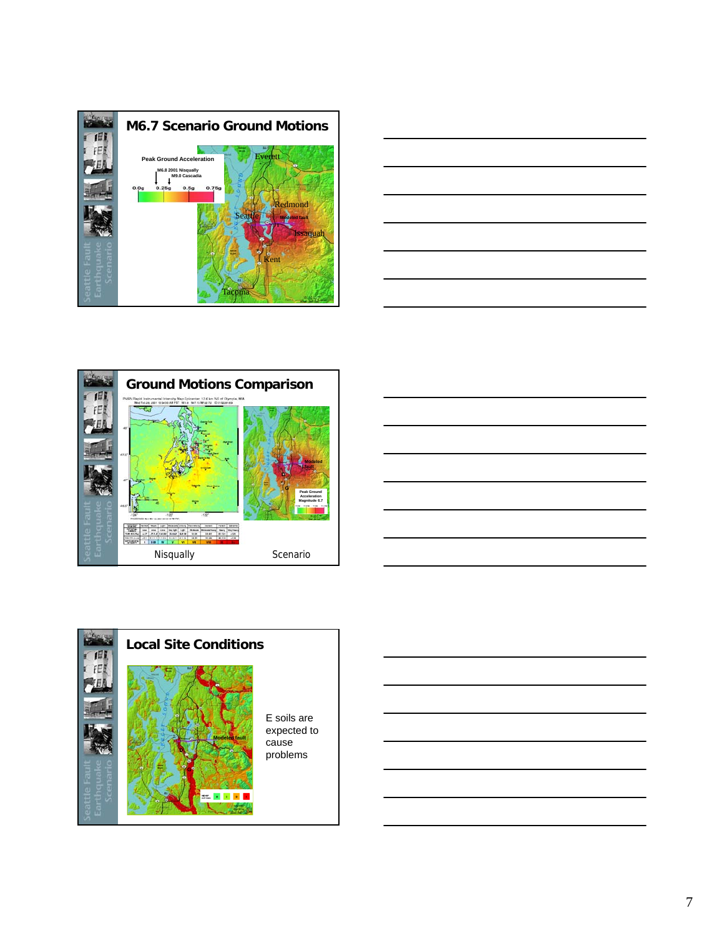







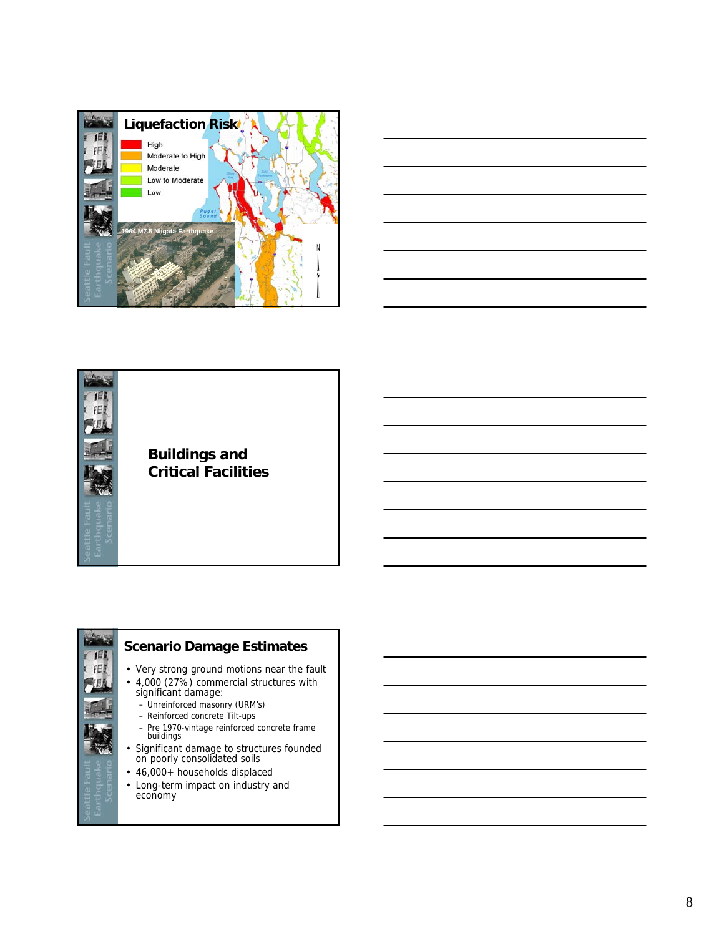





## **Buildings and Critical Facilities**



## **Scenario Damage Estimates**

- Very strong ground motions near the fault
- 4,000 (27%) commercial structures with significant damage:
	- Unreinforced masonry (URM's)
	- Reinforced concrete Tilt-ups
	- Pre 1970-vintage reinforced concrete frame<br>buildings
- Significant damage to structures founded on poorly consolidated soils
- 46,000+ households displaced
- Long-term impact on industry and economy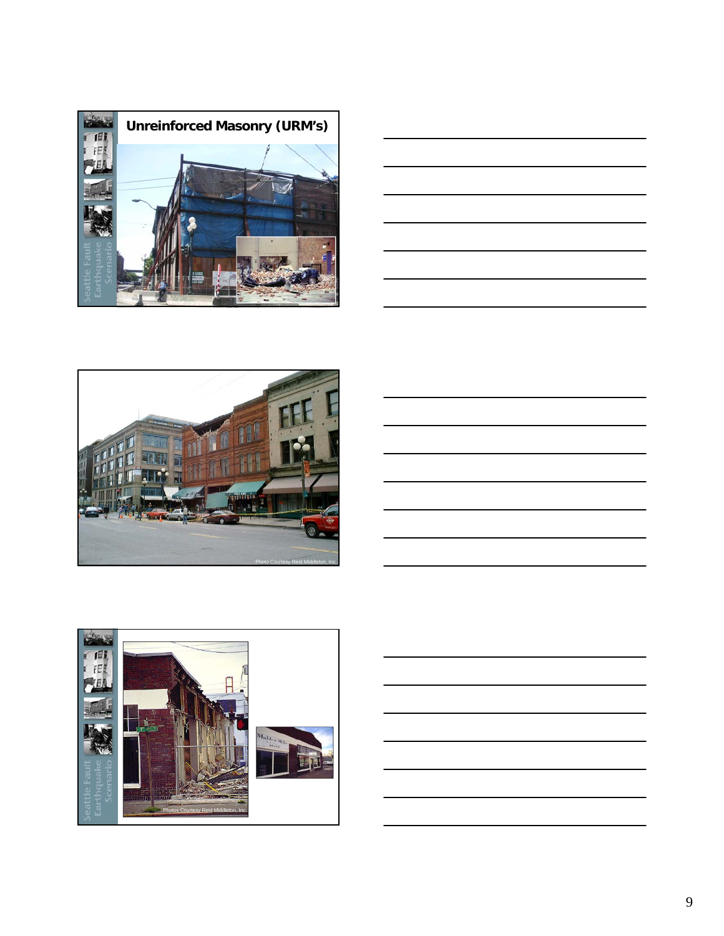







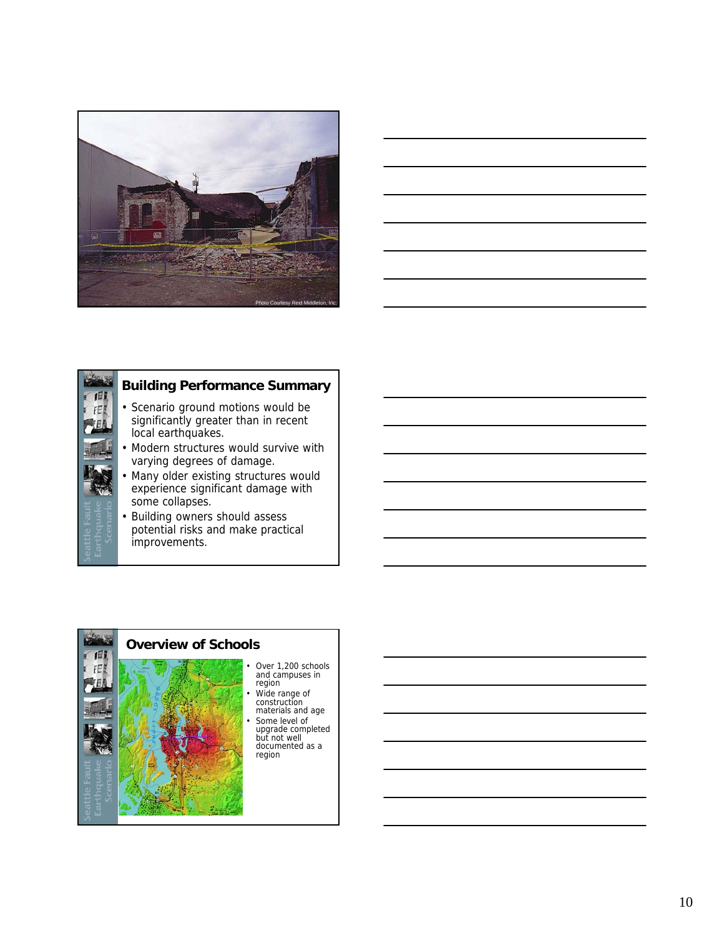





## **Building Performance Summary**

- Scenario ground motions would be significantly greater than in recent local earthquakes.
- Modern structures would survive with varying degrees of damage.
- Many older existing structures would experience significant damage with some collapses.
- Building owners should assess potential risks and make practical improvements.



- 
-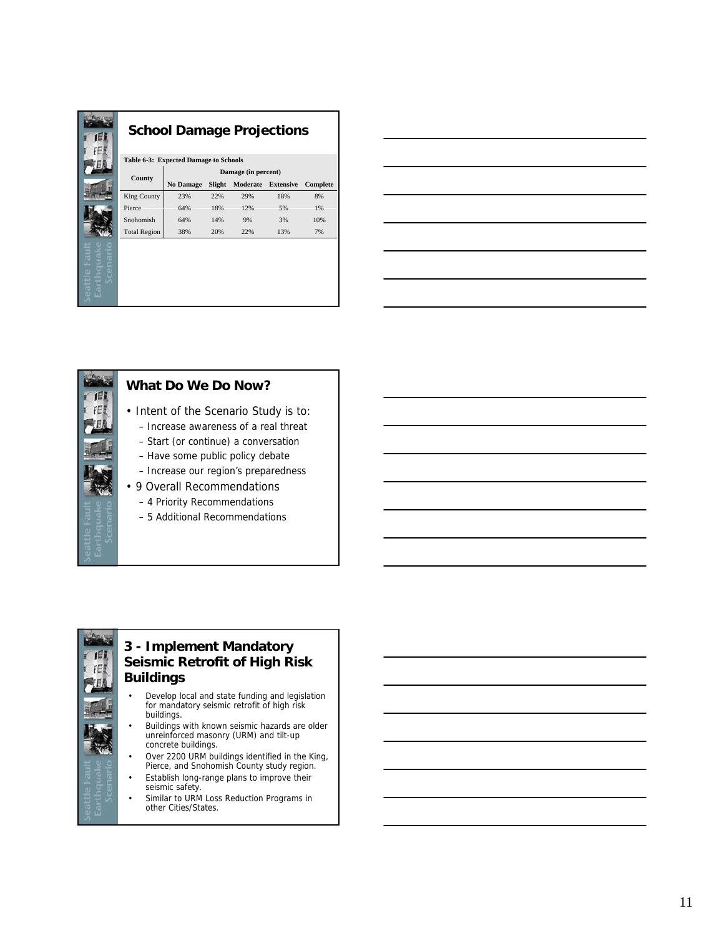| н                                       | <b>School Damage Projections</b>      |                     |        |          |                  |          |  |  |  |
|-----------------------------------------|---------------------------------------|---------------------|--------|----------|------------------|----------|--|--|--|
|                                         | Table 6-3: Expected Damage to Schools |                     |        |          |                  |          |  |  |  |
|                                         | County                                | Damage (in percent) |        |          |                  |          |  |  |  |
|                                         |                                       | <b>No Damage</b>    | Slight | Moderate | <b>Extensive</b> | Complete |  |  |  |
|                                         | King County                           | 23%                 | 22%    | 29%      | 18%              | 8%       |  |  |  |
|                                         | Pierce                                | 64%                 | 18%    | 12%      | 5%               | 1%       |  |  |  |
|                                         | Snohomish                             | 64%                 | 14%    | 9%       | 3%               | 10%      |  |  |  |
|                                         | <b>Total Region</b>                   | 38%                 | 20%    | 22%      | 13%              | 7%       |  |  |  |
| ē<br>σ<br>O<br>σ<br>σ<br>attl<br>₽<br>O |                                       |                     |        |          |                  |          |  |  |  |





## **What Do We Do Now?**

- Intent of the Scenario Study is to:
	- Increase awareness of a real threat
	- Start (or continue) a conversation
	- Have some public policy debate
	- Increase our region's preparedness
- 9 Overall Recommendations
	- 4 Priority Recommendations
	- 5 Additional Recommendations

### **3 - Implement Mandatory Seismic Retrofit of High Risk Buildings**

- Develop local and state funding and legislation for mandatory seismic retrofit of high risk buildings.
- Buildings with known seismic hazards are older<br>unreinforced masonry (URM) and tilt-up concrete buildings.
- Over 2200 URM buildings identified in the King, Pierce, and Snohomish County study region.
- Establish long-range plans to improve their seismic safety.
- Similar to URM Loss Reduction Programs in other Cities/States.